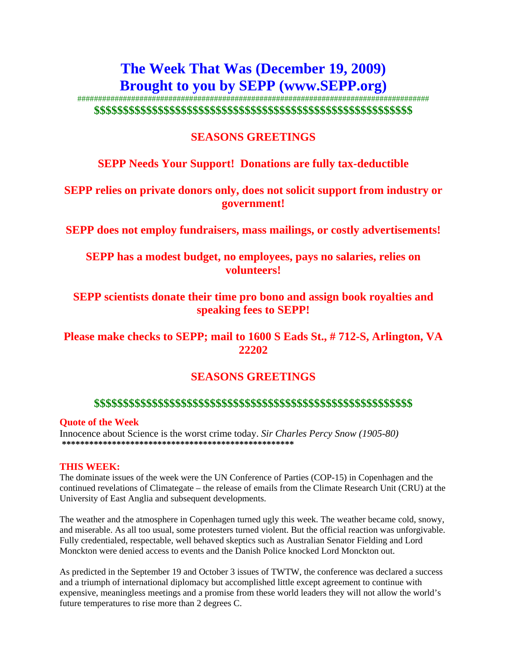# **The Week That Was (December 19, 2009) Brought to you by SEPP (www.SEPP.org)**

##################################################################################### **\$\$\$\$\$\$\$\$\$\$\$\$\$\$\$\$\$\$\$\$\$\$\$\$\$\$\$\$\$\$\$\$\$\$\$\$\$\$\$\$\$\$\$\$\$\$\$\$\$\$\$\$\$\$\$** 

# **SEASONS GREETINGS**

# **SEPP Needs Your Support! Donations are fully tax-deductible**

**SEPP relies on private donors only, does not solicit support from industry or government!** 

**SEPP does not employ fundraisers, mass mailings, or costly advertisements!** 

# **SEPP has a modest budget, no employees, pays no salaries, relies on volunteers!**

**SEPP scientists donate their time pro bono and assign book royalties and speaking fees to SEPP!** 

# **Please make checks to SEPP; mail to 1600 S Eads St., # 712-S, Arlington, VA 22202**

# **SEASONS GREETINGS**

# **\$\$\$\$\$\$\$\$\$\$\$\$\$\$\$\$\$\$\$\$\$\$\$\$\$\$\$\$\$\$\$\$\$\$\$\$\$\$\$\$\$\$\$\$\$\$\$\$\$\$\$\$\$\$\$**

### **Quote of the Week**

Innocence about Science is the worst crime today. *Sir Charles Percy Snow (1905-80)*  **\*\*\*\*\*\*\*\*\*\*\*\*\*\*\*\*\*\*\*\*\*\*\*\*\*\*\*\*\*\*\*\*\*\*\*\*\*\*\*\*\*\*\*\*\*\*\*\*\*\*\*** 

### **THIS WEEK:**

The dominate issues of the week were the UN Conference of Parties (COP-15) in Copenhagen and the continued revelations of Climategate – the release of emails from the Climate Research Unit (CRU) at the University of East Anglia and subsequent developments.

The weather and the atmosphere in Copenhagen turned ugly this week. The weather became cold, snowy, and miserable. As all too usual, some protesters turned violent. But the official reaction was unforgivable. Fully credentialed, respectable, well behaved skeptics such as Australian Senator Fielding and Lord Monckton were denied access to events and the Danish Police knocked Lord Monckton out.

As predicted in the September 19 and October 3 issues of TWTW, the conference was declared a success and a triumph of international diplomacy but accomplished little except agreement to continue with expensive, meaningless meetings and a promise from these world leaders they will not allow the world's future temperatures to rise more than 2 degrees C.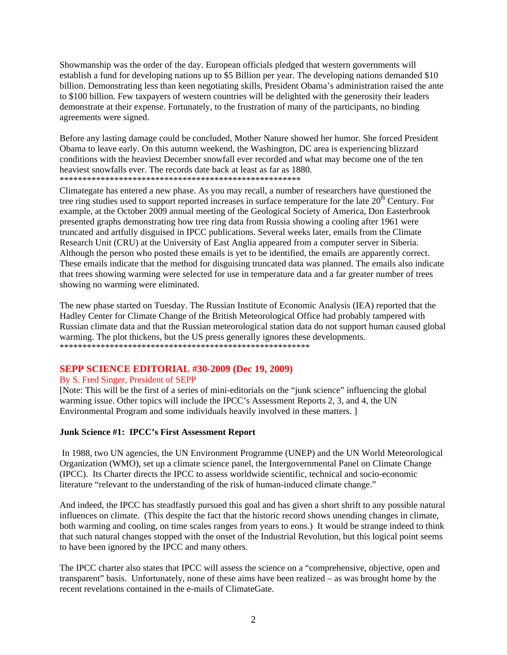Showmanship was the order of the day. European officials pledged that western governments will establish a fund for developing nations up to \$5 Billion per year. The developing nations demanded \$10 billion. Demonstrating less than keen negotiating skills, President Obama's administration raised the ante to \$100 billion. Few taxpayers of western countries will be delighted with the generosity their leaders demonstrate at their expense. Fortunately, to the frustration of many of the participants, no binding agreements were signed.

Before any lasting damage could be concluded, Mother Nature showed her humor. She forced President Obama to leave early. On this autumn weekend, the Washington, DC area is experiencing blizzard conditions with the heaviest December snowfall ever recorded and what may become one of the ten heaviest snowfalls ever. The records date back at least as far as 1880. \*\*\*\*\*\*\*\*\*\*\*\*\*\*\*\*\*\*\*\*\*\*\*\*\*\*\*\*\*\*\*\*\*\*\*\*\*\*\*\*\*\*\*\*\*\*\*\*\*\*\*\*\*

Climategate has entered a new phase. As you may recall, a number of researchers have questioned the tree ring studies used to support reported increases in surface temperature for the late  $20^{th}$  Century. For example, at the October 2009 annual meeting of the Geological Society of America, Don Easterbrook presented graphs demonstrating how tree ring data from Russia showing a cooling after 1961 were truncated and artfully disguised in IPCC publications. Several weeks later, emails from the Climate Research Unit (CRU) at the University of East Anglia appeared from a computer server in Siberia. Although the person who posted these emails is yet to be identified, the emails are apparently correct. These emails indicate that the method for disguising truncated data was planned. The emails also indicate that trees showing warming were selected for use in temperature data and a far greater number of trees showing no warming were eliminated.

The new phase started on Tuesday. The Russian Institute of Economic Analysis (IEA) reported that the Hadley Center for Climate Change of the British Meteorological Office had probably tampered with Russian climate data and that the Russian meteorological station data do not support human caused global warming. The plot thickens, but the US press generally ignores these developments. \*\*\*\*\*\*\*\*\*\*\*\*\*\*\*\*\*\*\*\*\*\*\*\*\*\*\*\*\*\*\*\*\*\*\*\*\*\*\*\*\*\*\*\*\*\*\*\*\*\*\*\*\*\*\*

#### **SEPP SCIENCE EDITORIAL #30-2009 (Dec 19, 2009)**

#### By S. Fred Singer, President of SEPP

[Note: This will be the first of a series of mini-editorials on the "junk science" influencing the global warming issue. Other topics will include the IPCC's Assessment Reports 2, 3, and 4, the UN Environmental Program and some individuals heavily involved in these matters. ]

#### **Junk Science #1: IPCC's First Assessment Report**

In 1988, two UN agencies, the UN Environment Programme (UNEP) and the UN World Meteorological Organization (WMO), set up a climate science panel, the Intergovernmental Panel on Climate Change (IPCC). Its Charter directs the IPCC to assess worldwide scientific, technical and socio-economic literature "relevant to the understanding of the risk of human-induced climate change."

And indeed, the IPCC has steadfastly pursued this goal and has given a short shrift to any possible natural influences on climate. (This despite the fact that the historic record shows unending changes in climate, both warming and cooling, on time scales ranges from years to eons.) It would be strange indeed to think that such natural changes stopped with the onset of the Industrial Revolution, but this logical point seems to have been ignored by the IPCC and many others.

The IPCC charter also states that IPCC will assess the science on a "comprehensive, objective, open and transparent" basis. Unfortunately, none of these aims have been realized – as was brought home by the recent revelations contained in the e-mails of ClimateGate.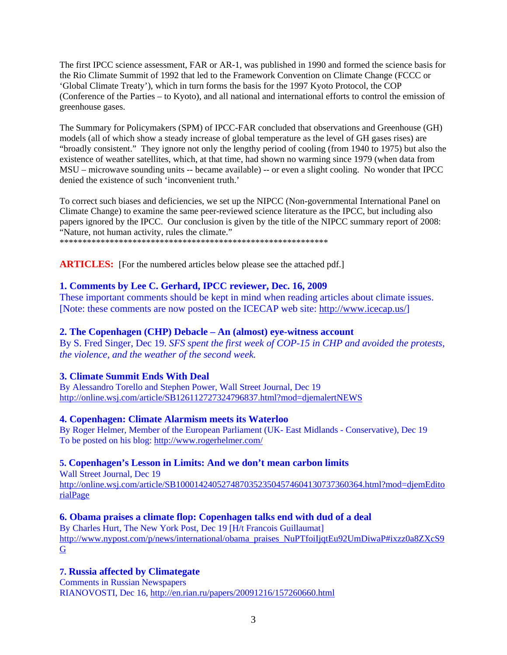The first IPCC science assessment, FAR or AR-1, was published in 1990 and formed the science basis for the Rio Climate Summit of 1992 that led to the Framework Convention on Climate Change (FCCC or 'Global Climate Treaty'), which in turn forms the basis for the 1997 Kyoto Protocol, the COP (Conference of the Parties – to Kyoto), and all national and international efforts to control the emission of greenhouse gases.

The Summary for Policymakers (SPM) of IPCC-FAR concluded that observations and Greenhouse (GH) models (all of which show a steady increase of global temperature as the level of GH gases rises) are "broadly consistent." They ignore not only the lengthy period of cooling (from 1940 to 1975) but also the existence of weather satellites, which, at that time, had shown no warming since 1979 (when data from MSU – microwave sounding units -- became available) -- or even a slight cooling. No wonder that IPCC denied the existence of such 'inconvenient truth.'

To correct such biases and deficiencies, we set up the NIPCC (Non-governmental International Panel on Climate Change) to examine the same peer-reviewed science literature as the IPCC, but including also papers ignored by the IPCC. Our conclusion is given by the title of the NIPCC summary report of 2008: "Nature, not human activity, rules the climate."

\*\*\*\*\*\*\*\*\*\*\*\*\*\*\*\*\*\*\*\*\*\*\*\*\*\*\*\*\*\*\*\*\*\*\*\*\*\*\*\*\*\*\*\*\*\*\*\*\*\*\*\*\*\*\*\*\*\*\*

**ARTICLES:** [For the numbered articles below please see the attached pdf.]

### **1. Comments by Lee C. Gerhard, IPCC reviewer, Dec. 16, 2009**

These important comments should be kept in mind when reading articles about climate issues. [Note: these comments are now posted on the ICECAP web site: http://www.icecap.us/]

### **2. The Copenhagen (CHP) Debacle – An (almost) eye-witness account**

By S. Fred Singer, Dec 19. *SFS spent the first week of COP-15 in CHP and avoided the protests, the violence, and the weather of the second week.* 

### **3. Climate Summit Ends With Deal**

By Alessandro Torello and Stephen Power, Wall Street Journal, Dec 19 http://online.wsj.com/article/SB126112727324796837.html?mod=djemalertNEWS

### **4. Copenhagen: Climate Alarmism meets its Waterloo**

By Roger Helmer, Member of the European Parliament (UK- East Midlands - Conservative), Dec 19 To be posted on his blog: http://www.rogerhelmer.com/

### **5. Copenhagen's Lesson in Limits: And we don't mean carbon limits**

Wall Street Journal, Dec 19 http://online.wsj.com/article/SB10001424052748703523504574604130737360364.html?mod=djemEdito rialPage

### **6. Obama praises a climate flop: Copenhagen talks end with dud of a deal**

By Charles Hurt, The New York Post, Dec 19 [H/t Francois Guillaumat] http://www.nypost.com/p/news/international/obama\_praises\_NuPTfoiIjqtEu92UmDiwaP#ixzz0a8ZXcS9 G

### **7. Russia affected by Climategate**

Comments in Russian Newspapers RIANOVOSTI, Dec 16, http://en.rian.ru/papers/20091216/157260660.html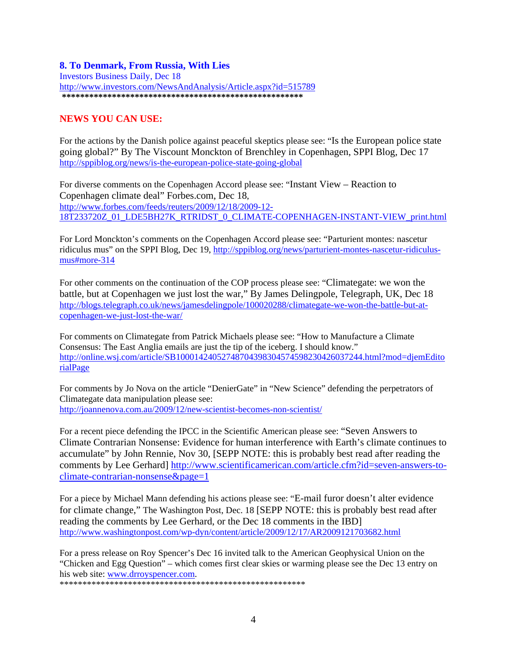#### **8. To Denmark, From Russia, With Lies**  Investors Business Daily, Dec 18 http://www.investors.com/NewsAndAnalysis/Article.aspx?id=515789  **\*\*\*\*\*\*\*\*\*\*\*\*\*\*\*\*\*\*\*\*\*\*\*\*\*\*\*\*\*\*\*\*\*\*\*\*\*\*\*\*\*\*\*\*\*\*\*\*\*\*\*\*\***

# **NEWS YOU CAN USE:**

For the actions by the Danish police against peaceful skeptics please see: "Is the European police state going global?" By The Viscount Monckton of Brenchley in Copenhagen, SPPI Blog, Dec 17 http://sppiblog.org/news/is-the-european-police-state-going-global

For diverse comments on the Copenhagen Accord please see: "Instant View – Reaction to Copenhagen climate deal" Forbes.com, Dec 18, http://www.forbes.com/feeds/reuters/2009/12/18/2009-12- 18T233720Z\_01\_LDE5BH27K\_RTRIDST\_0\_CLIMATE-COPENHAGEN-INSTANT-VIEW\_print.html

For Lord Monckton's comments on the Copenhagen Accord please see: "Parturient montes: nascetur ridiculus mus" on the SPPI Blog, Dec 19, http://sppiblog.org/news/parturient-montes-nascetur-ridiculusmus#more-314

For other comments on the continuation of the COP process please see: "Climategate: we won the battle, but at Copenhagen we just lost the war," By James Delingpole, Telegraph, UK, Dec 18 http://blogs.telegraph.co.uk/news/jamesdelingpole/100020288/climategate-we-won-the-battle-but-atcopenhagen-we-just-lost-the-war/

For comments on Climategate from Patrick Michaels please see: "How to Manufacture a Climate Consensus: The East Anglia emails are just the tip of the iceberg. I should know." http://online.wsj.com/article/SB10001424052748704398304574598230426037244.html?mod=djemEdito rialPage

For comments by Jo Nova on the article "DenierGate" in "New Science" defending the perpetrators of Climategate data manipulation please see: http://joannenova.com.au/2009/12/new-scientist-becomes-non-scientist/

For a recent piece defending the IPCC in the Scientific American please see: "Seven Answers to Climate Contrarian Nonsense: Evidence for human interference with Earth's climate continues to accumulate" by John Rennie, Nov 30, [SEPP NOTE: this is probably best read after reading the comments by Lee Gerhard] http://www.scientificamerican.com/article.cfm?id=seven-answers-toclimate-contrarian-nonsense&page=1

For a piece by Michael Mann defending his actions please see: "E-mail furor doesn't alter evidence for climate change," The Washington Post, Dec. 18 [SEPP NOTE: this is probably best read after reading the comments by Lee Gerhard, or the Dec 18 comments in the IBD] http://www.washingtonpost.com/wp-dyn/content/article/2009/12/17/AR2009121703682.html

For a press release on Roy Spencer's Dec 16 invited talk to the American Geophysical Union on the "Chicken and Egg Question" – which comes first clear skies or warming please see the Dec 13 entry on his web site: www.drroyspencer.com.

\*\*\*\*\*\*\*\*\*\*\*\*\*\*\*\*\*\*\*\*\*\*\*\*\*\*\*\*\*\*\*\*\*\*\*\*\*\*\*\*\*\*\*\*\*\*\*\*\*\*\*\*\*\*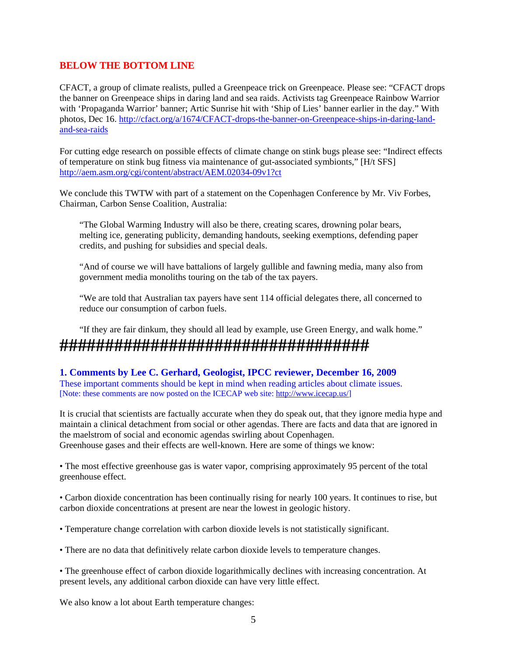### **BELOW THE BOTTOM LINE**

CFACT, a group of climate realists, pulled a Greenpeace trick on Greenpeace. Please see: "CFACT drops the banner on Greenpeace ships in daring land and sea raids. Activists tag Greenpeace Rainbow Warrior with 'Propaganda Warrior' banner; Artic Sunrise hit with 'Ship of Lies' banner earlier in the day." With photos, Dec 16. http://cfact.org/a/1674/CFACT-drops-the-banner-on-Greenpeace-ships-in-daring-landand-sea-raids

For cutting edge research on possible effects of climate change on stink bugs please see: "Indirect effects of temperature on stink bug fitness via maintenance of gut-associated symbionts," [H/t SFS] http://aem.asm.org/cgi/content/abstract/AEM.02034-09v1?ct

We conclude this TWTW with part of a statement on the Copenhagen Conference by Mr. Viv Forbes, Chairman, Carbon Sense Coalition, Australia:

"The Global Warming Industry will also be there, creating scares, drowning polar bears, melting ice, generating publicity, demanding handouts, seeking exemptions, defending paper credits, and pushing for subsidies and special deals.

"And of course we will have battalions of largely gullible and fawning media, many also from government media monoliths touring on the tab of the tax payers.

"We are told that Australian tax payers have sent 114 official delegates there, all concerned to reduce our consumption of carbon fuels.

"If they are fair dinkum, they should all lead by example, use Green Energy, and walk home." **##################################** 

**1. Comments by Lee C. Gerhard, Geologist, IPCC reviewer, December 16, 2009**  These important comments should be kept in mind when reading articles about climate issues. [Note: these comments are now posted on the ICECAP web site: http://www.icecap.us/]

It is crucial that scientists are factually accurate when they do speak out, that they ignore media hype and maintain a clinical detachment from social or other agendas. There are facts and data that are ignored in the maelstrom of social and economic agendas swirling about Copenhagen. Greenhouse gases and their effects are well-known. Here are some of things we know:

• The most effective greenhouse gas is water vapor, comprising approximately 95 percent of the total greenhouse effect.

• Carbon dioxide concentration has been continually rising for nearly 100 years. It continues to rise, but carbon dioxide concentrations at present are near the lowest in geologic history.

• Temperature change correlation with carbon dioxide levels is not statistically significant.

• There are no data that definitively relate carbon dioxide levels to temperature changes.

• The greenhouse effect of carbon dioxide logarithmically declines with increasing concentration. At present levels, any additional carbon dioxide can have very little effect.

We also know a lot about Earth temperature changes: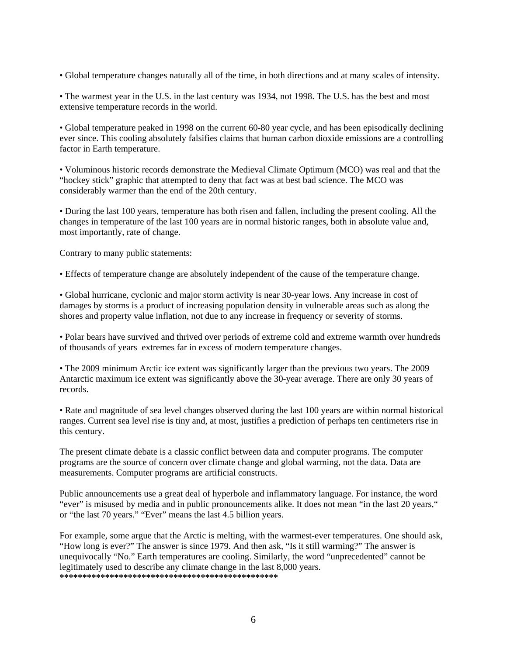• Global temperature changes naturally all of the time, in both directions and at many scales of intensity.

• The warmest year in the U.S. in the last century was 1934, not 1998. The U.S. has the best and most extensive temperature records in the world.

• Global temperature peaked in 1998 on the current 60-80 year cycle, and has been episodically declining ever since. This cooling absolutely falsifies claims that human carbon dioxide emissions are a controlling factor in Earth temperature.

• Voluminous historic records demonstrate the Medieval Climate Optimum (MCO) was real and that the "hockey stick" graphic that attempted to deny that fact was at best bad science. The MCO was considerably warmer than the end of the 20th century.

• During the last 100 years, temperature has both risen and fallen, including the present cooling. All the changes in temperature of the last 100 years are in normal historic ranges, both in absolute value and, most importantly, rate of change.

Contrary to many public statements:

• Effects of temperature change are absolutely independent of the cause of the temperature change.

• Global hurricane, cyclonic and major storm activity is near 30-year lows. Any increase in cost of damages by storms is a product of increasing population density in vulnerable areas such as along the shores and property value inflation, not due to any increase in frequency or severity of storms.

• Polar bears have survived and thrived over periods of extreme cold and extreme warmth over hundreds of thousands of years extremes far in excess of modern temperature changes.

• The 2009 minimum Arctic ice extent was significantly larger than the previous two years. The 2009 Antarctic maximum ice extent was significantly above the 30-year average. There are only 30 years of records.

• Rate and magnitude of sea level changes observed during the last 100 years are within normal historical ranges. Current sea level rise is tiny and, at most, justifies a prediction of perhaps ten centimeters rise in this century.

The present climate debate is a classic conflict between data and computer programs. The computer programs are the source of concern over climate change and global warming, not the data. Data are measurements. Computer programs are artificial constructs.

Public announcements use a great deal of hyperbole and inflammatory language. For instance, the word "ever" is misused by media and in public pronouncements alike. It does not mean "in the last 20 years," or "the last 70 years." "Ever" means the last 4.5 billion years.

For example, some argue that the Arctic is melting, with the warmest-ever temperatures. One should ask, "How long is ever?" The answer is since 1979. And then ask, "Is it still warming?" The answer is unequivocally "No." Earth temperatures are cooling. Similarly, the word "unprecedented" cannot be legitimately used to describe any climate change in the last 8,000 years. **\*\*\*\*\*\*\*\*\*\*\*\*\*\*\*\*\*\*\*\*\*\*\*\*\*\*\*\*\*\*\*\*\*\*\*\*\*\*\*\*\*\*\*\*\*\*\*\***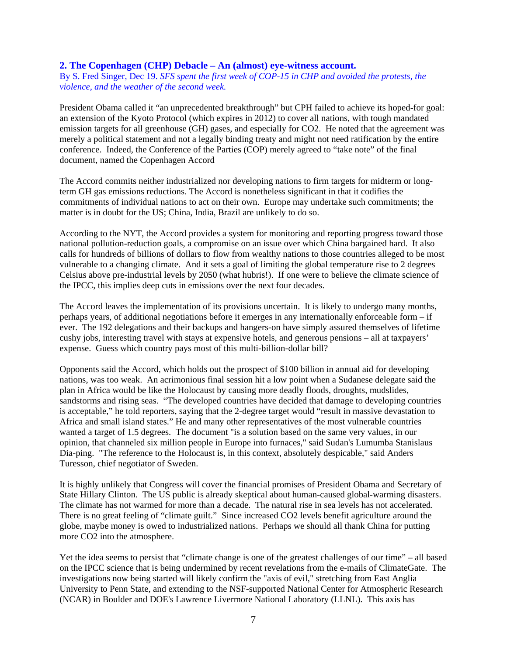#### **2. The Copenhagen (CHP) Debacle – An (almost) eye-witness account.**

By S. Fred Singer, Dec 19. *SFS spent the first week of COP-15 in CHP and avoided the protests, the violence, and the weather of the second week.* 

President Obama called it "an unprecedented breakthrough" but CPH failed to achieve its hoped-for goal: an extension of the Kyoto Protocol (which expires in 2012) to cover all nations, with tough mandated emission targets for all greenhouse (GH) gases, and especially for CO2. He noted that the agreement was merely a political statement and not a legally binding treaty and might not need ratification by the entire conference. Indeed, the Conference of the Parties (COP) merely agreed to "take note" of the final document, named the Copenhagen Accord

The Accord commits neither industrialized nor developing nations to firm targets for midterm or longterm GH gas emissions reductions. The Accord is nonetheless significant in that it codifies the commitments of individual nations to act on their own. Europe may undertake such commitments; the matter is in doubt for the US; China, India, Brazil are unlikely to do so.

According to the NYT, the Accord provides a system for monitoring and reporting progress toward those national pollution-reduction goals, a compromise on an issue over which China bargained hard. It also calls for hundreds of billions of dollars to flow from wealthy nations to those countries alleged to be most vulnerable to a changing climate. And it sets a goal of limiting the global temperature rise to 2 degrees Celsius above pre-industrial levels by 2050 (what hubris!). If one were to believe the climate science of the IPCC, this implies deep cuts in emissions over the next four decades.

The Accord leaves the implementation of its provisions uncertain. It is likely to undergo many months, perhaps years, of additional negotiations before it emerges in any internationally enforceable form – if ever. The 192 delegations and their backups and hangers-on have simply assured themselves of lifetime cushy jobs, interesting travel with stays at expensive hotels, and generous pensions – all at taxpayers' expense. Guess which country pays most of this multi-billion-dollar bill?

Opponents said the Accord, which holds out the prospect of \$100 billion in annual aid for developing nations, was too weak. An acrimonious final session hit a low point when a Sudanese delegate said the plan in Africa would be like the Holocaust by causing more deadly floods, droughts, mudslides, sandstorms and rising seas. "The developed countries have decided that damage to developing countries is acceptable," he told reporters, saying that the 2-degree target would "result in massive devastation to Africa and small island states." He and many other representatives of the most vulnerable countries wanted a target of 1.5 degrees. The document "is a solution based on the same very values, in our opinion, that channeled six million people in Europe into furnaces," said Sudan's Lumumba Stanislaus Dia-ping. "The reference to the Holocaust is, in this context, absolutely despicable," said Anders Turesson, chief negotiator of Sweden.

It is highly unlikely that Congress will cover the financial promises of President Obama and Secretary of State Hillary Clinton. The US public is already skeptical about human-caused global-warming disasters. The climate has not warmed for more than a decade. The natural rise in sea levels has not accelerated. There is no great feeling of "climate guilt." Since increased CO2 levels benefit agriculture around the globe, maybe money is owed to industrialized nations. Perhaps we should all thank China for putting more CO2 into the atmosphere.

Yet the idea seems to persist that "climate change is one of the greatest challenges of our time" – all based on the IPCC science that is being undermined by recent revelations from the e-mails of ClimateGate. The investigations now being started will likely confirm the "axis of evil," stretching from East Anglia University to Penn State, and extending to the NSF-supported National Center for Atmospheric Research (NCAR) in Boulder and DOE's Lawrence Livermore National Laboratory (LLNL). This axis has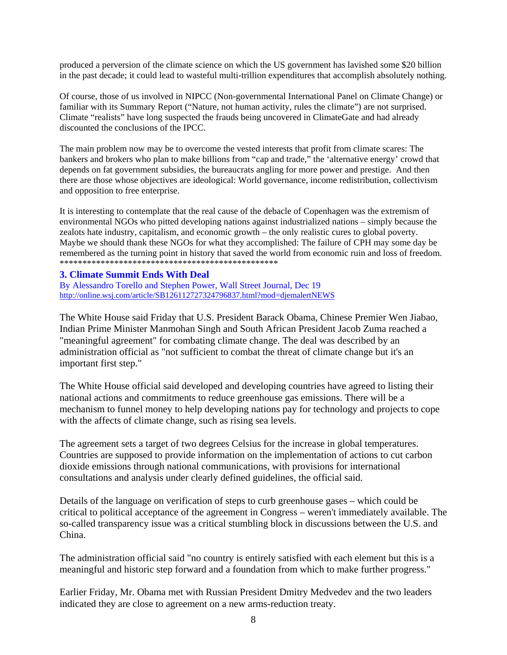produced a perversion of the climate science on which the US government has lavished some \$20 billion in the past decade; it could lead to wasteful multi-trillion expenditures that accomplish absolutely nothing.

Of course, those of us involved in NIPCC (Non-governmental International Panel on Climate Change) or familiar with its Summary Report ("Nature, not human activity, rules the climate") are not surprised. Climate "realists" have long suspected the frauds being uncovered in ClimateGate and had already discounted the conclusions of the IPCC.

The main problem now may be to overcome the vested interests that profit from climate scares: The bankers and brokers who plan to make billions from "cap and trade," the 'alternative energy' crowd that depends on fat government subsidies, the bureaucrats angling for more power and prestige. And then there are those whose objectives are ideological: World governance, income redistribution, collectivism and opposition to free enterprise.

It is interesting to contemplate that the real cause of the debacle of Copenhagen was the extremism of environmental NGOs who pitted developing nations against industrialized nations – simply because the zealots hate industry, capitalism, and economic growth – the only realistic cures to global poverty. Maybe we should thank these NGOs for what they accomplished: The failure of CPH may some day be remembered as the turning point in history that saved the world from economic ruin and loss of freedom. \*\*\*\*\*\*\*\*\*\*\*\*\*\*\*\*\*\*\*\*\*\*\*\*\*\*\*\*\*\*\*\*\*\*\*\*\*\*\*\*\*\*\*\*\*\*\*\*

### **3. Climate Summit Ends With Deal**

By Alessandro Torello and Stephen Power, Wall Street Journal, Dec 19 http://online.wsj.com/article/SB126112727324796837.html?mod=djemalertNEWS

The White House said Friday that U.S. President Barack Obama, Chinese Premier Wen Jiabao, Indian Prime Minister Manmohan Singh and South African President Jacob Zuma reached a "meaningful agreement" for combating climate change. The deal was described by an administration official as "not sufficient to combat the threat of climate change but it's an important first step."

The White House official said developed and developing countries have agreed to listing their national actions and commitments to reduce greenhouse gas emissions. There will be a mechanism to funnel money to help developing nations pay for technology and projects to cope with the affects of climate change, such as rising sea levels.

The agreement sets a target of two degrees Celsius for the increase in global temperatures. Countries are supposed to provide information on the implementation of actions to cut carbon dioxide emissions through national communications, with provisions for international consultations and analysis under clearly defined guidelines, the official said.

Details of the language on verification of steps to curb greenhouse gases – which could be critical to political acceptance of the agreement in Congress – weren't immediately available. The so-called transparency issue was a critical stumbling block in discussions between the U.S. and China.

The administration official said "no country is entirely satisfied with each element but this is a meaningful and historic step forward and a foundation from which to make further progress."

Earlier Friday, Mr. Obama met with Russian President Dmitry Medvedev and the two leaders indicated they are close to agreement on a new arms-reduction treaty.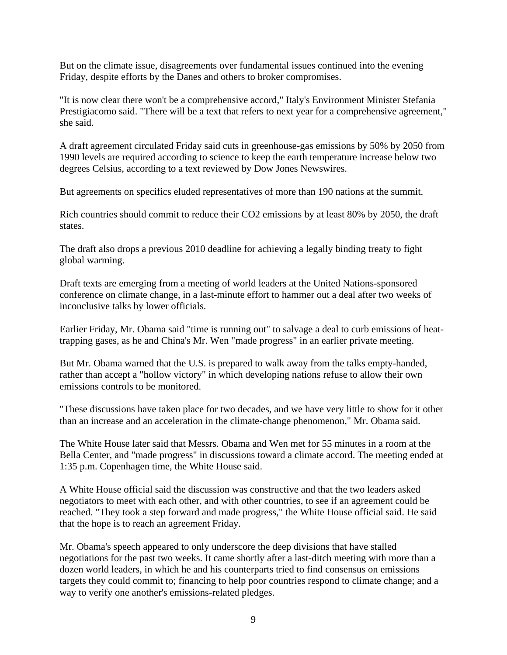But on the climate issue, disagreements over fundamental issues continued into the evening Friday, despite efforts by the Danes and others to broker compromises.

"It is now clear there won't be a comprehensive accord," Italy's Environment Minister Stefania Prestigiacomo said. "There will be a text that refers to next year for a comprehensive agreement," she said.

A draft agreement circulated Friday said cuts in greenhouse-gas emissions by 50% by 2050 from 1990 levels are required according to science to keep the earth temperature increase below two degrees Celsius, according to a text reviewed by Dow Jones Newswires.

But agreements on specifics eluded representatives of more than 190 nations at the summit.

Rich countries should commit to reduce their CO2 emissions by at least 80% by 2050, the draft states.

The draft also drops a previous 2010 deadline for achieving a legally binding treaty to fight global warming.

Draft texts are emerging from a meeting of world leaders at the United Nations-sponsored conference on climate change, in a last-minute effort to hammer out a deal after two weeks of inconclusive talks by lower officials.

Earlier Friday, Mr. Obama said "time is running out" to salvage a deal to curb emissions of heattrapping gases, as he and China's Mr. Wen "made progress" in an earlier private meeting.

But Mr. Obama warned that the U.S. is prepared to walk away from the talks empty-handed, rather than accept a "hollow victory" in which developing nations refuse to allow their own emissions controls to be monitored.

"These discussions have taken place for two decades, and we have very little to show for it other than an increase and an acceleration in the climate-change phenomenon," Mr. Obama said.

The White House later said that Messrs. Obama and Wen met for 55 minutes in a room at the Bella Center, and "made progress" in discussions toward a climate accord. The meeting ended at 1:35 p.m. Copenhagen time, the White House said.

A White House official said the discussion was constructive and that the two leaders asked negotiators to meet with each other, and with other countries, to see if an agreement could be reached. "They took a step forward and made progress," the White House official said. He said that the hope is to reach an agreement Friday.

Mr. Obama's speech appeared to only underscore the deep divisions that have stalled negotiations for the past two weeks. It came shortly after a last-ditch meeting with more than a dozen world leaders, in which he and his counterparts tried to find consensus on emissions targets they could commit to; financing to help poor countries respond to climate change; and a way to verify one another's emissions-related pledges.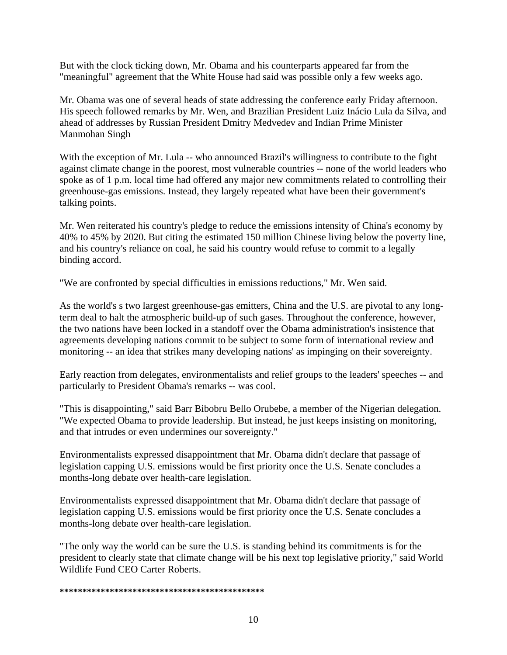But with the clock ticking down, Mr. Obama and his counterparts appeared far from the "meaningful" agreement that the White House had said was possible only a few weeks ago.

Mr. Obama was one of several heads of state addressing the conference early Friday afternoon. His speech followed remarks by Mr. Wen, and Brazilian President Luiz Inácio Lula da Silva, and ahead of addresses by Russian President Dmitry Medvedev and Indian Prime Minister Manmohan Singh

With the exception of Mr. Lula -- who announced Brazil's willingness to contribute to the fight against climate change in the poorest, most vulnerable countries -- none of the world leaders who spoke as of 1 p.m. local time had offered any major new commitments related to controlling their greenhouse-gas emissions. Instead, they largely repeated what have been their government's talking points.

Mr. Wen reiterated his country's pledge to reduce the emissions intensity of China's economy by 40% to 45% by 2020. But citing the estimated 150 million Chinese living below the poverty line, and his country's reliance on coal, he said his country would refuse to commit to a legally binding accord.

"We are confronted by special difficulties in emissions reductions," Mr. Wen said.

As the world's s two largest greenhouse-gas emitters, China and the U.S. are pivotal to any longterm deal to halt the atmospheric build-up of such gases. Throughout the conference, however, the two nations have been locked in a standoff over the Obama administration's insistence that agreements developing nations commit to be subject to some form of international review and monitoring -- an idea that strikes many developing nations' as impinging on their sovereignty.

Early reaction from delegates, environmentalists and relief groups to the leaders' speeches -- and particularly to President Obama's remarks -- was cool.

"This is disappointing," said Barr Bibobru Bello Orubebe, a member of the Nigerian delegation. "We expected Obama to provide leadership. But instead, he just keeps insisting on monitoring, and that intrudes or even undermines our sovereignty."

Environmentalists expressed disappointment that Mr. Obama didn't declare that passage of legislation capping U.S. emissions would be first priority once the U.S. Senate concludes a months-long debate over health-care legislation.

Environmentalists expressed disappointment that Mr. Obama didn't declare that passage of legislation capping U.S. emissions would be first priority once the U.S. Senate concludes a months-long debate over health-care legislation.

"The only way the world can be sure the U.S. is standing behind its commitments is for the president to clearly state that climate change will be his next top legislative priority," said World Wildlife Fund CEO Carter Roberts.

**\*\*\*\*\*\*\*\*\*\*\*\*\*\*\*\*\*\*\*\*\*\*\*\*\*\*\*\*\*\*\*\*\*\*\*\*\*\*\*\*\*\*\*\*\***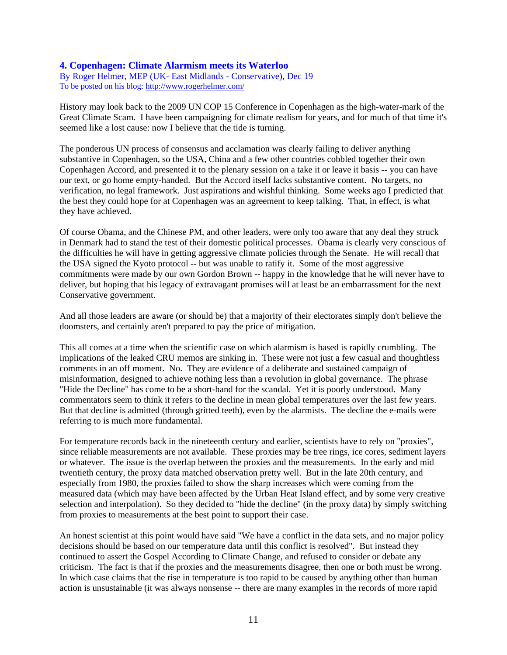#### **4. Copenhagen: Climate Alarmism meets its Waterloo**

By Roger Helmer, MEP (UK- East Midlands - Conservative), Dec 19 To be posted on his blog: http://www.rogerhelmer.com/

History may look back to the 2009 UN COP 15 Conference in Copenhagen as the high-water-mark of the Great Climate Scam. I have been campaigning for climate realism for years, and for much of that time it's seemed like a lost cause: now I believe that the tide is turning.

The ponderous UN process of consensus and acclamation was clearly failing to deliver anything substantive in Copenhagen, so the USA, China and a few other countries cobbled together their own Copenhagen Accord, and presented it to the plenary session on a take it or leave it basis -- you can have our text, or go home empty-handed. But the Accord itself lacks substantive content. No targets, no verification, no legal framework. Just aspirations and wishful thinking. Some weeks ago I predicted that the best they could hope for at Copenhagen was an agreement to keep talking. That, in effect, is what they have achieved.

Of course Obama, and the Chinese PM, and other leaders, were only too aware that any deal they struck in Denmark had to stand the test of their domestic political processes. Obama is clearly very conscious of the difficulties he will have in getting aggressive climate policies through the Senate. He will recall that the USA signed the Kyoto protocol -- but was unable to ratify it. Some of the most aggressive commitments were made by our own Gordon Brown -- happy in the knowledge that he will never have to deliver, but hoping that his legacy of extravagant promises will at least be an embarrassment for the next Conservative government.

And all those leaders are aware (or should be) that a majority of their electorates simply don't believe the doomsters, and certainly aren't prepared to pay the price of mitigation.

This all comes at a time when the scientific case on which alarmism is based is rapidly crumbling. The implications of the leaked CRU memos are sinking in. These were not just a few casual and thoughtless comments in an off moment. No. They are evidence of a deliberate and sustained campaign of misinformation, designed to achieve nothing less than a revolution in global governance. The phrase "Hide the Decline" has come to be a short-hand for the scandal. Yet it is poorly understood. Many commentators seem to think it refers to the decline in mean global temperatures over the last few years. But that decline is admitted (through gritted teeth), even by the alarmists. The decline the e-mails were referring to is much more fundamental.

For temperature records back in the nineteenth century and earlier, scientists have to rely on "proxies", since reliable measurements are not available. These proxies may be tree rings, ice cores, sediment layers or whatever. The issue is the overlap between the proxies and the measurements. In the early and mid twentieth century, the proxy data matched observation pretty well. But in the late 20th century, and especially from 1980, the proxies failed to show the sharp increases which were coming from the measured data (which may have been affected by the Urban Heat Island effect, and by some very creative selection and interpolation). So they decided to "hide the decline" (in the proxy data) by simply switching from proxies to measurements at the best point to support their case.

An honest scientist at this point would have said "We have a conflict in the data sets, and no major policy decisions should be based on our temperature data until this conflict is resolved". But instead they continued to assert the Gospel According to Climate Change, and refused to consider or debate any criticism. The fact is that if the proxies and the measurements disagree, then one or both must be wrong. In which case claims that the rise in temperature is too rapid to be caused by anything other than human action is unsustainable (it was always nonsense -- there are many examples in the records of more rapid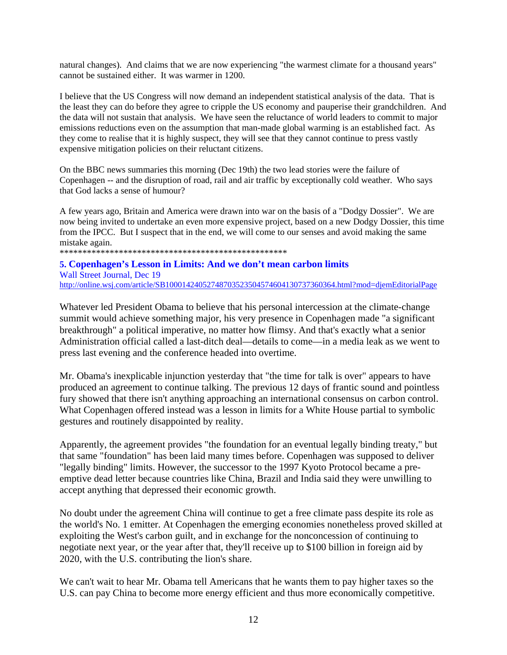natural changes). And claims that we are now experiencing "the warmest climate for a thousand years" cannot be sustained either. It was warmer in 1200.

I believe that the US Congress will now demand an independent statistical analysis of the data. That is the least they can do before they agree to cripple the US economy and pauperise their grandchildren. And the data will not sustain that analysis. We have seen the reluctance of world leaders to commit to major emissions reductions even on the assumption that man-made global warming is an established fact. As they come to realise that it is highly suspect, they will see that they cannot continue to press vastly expensive mitigation policies on their reluctant citizens.

On the BBC news summaries this morning (Dec 19th) the two lead stories were the failure of Copenhagen -- and the disruption of road, rail and air traffic by exceptionally cold weather. Who says that God lacks a sense of humour?

A few years ago, Britain and America were drawn into war on the basis of a "Dodgy Dossier". We are now being invited to undertake an even more expensive project, based on a new Dodgy Dossier, this time from the IPCC. But I suspect that in the end, we will come to our senses and avoid making the same mistake again.

#### \*\*\*\*\*\*\*\*\*\*\*\*\*\*\*\*\*\*\*\*\*\*\*\*\*\*\*\*\*\*\*\*\*\*\*\*\*\*\*\*\*\*\*\*\*\*\*\*\*\*

**5. Copenhagen's Lesson in Limits: And we don't mean carbon limits** Wall Street Journal, Dec 19 http://online.wsj.com/article/SB10001424052748703523504574604130737360364.html?mod=djemEditorialPage

Whatever led President Obama to believe that his personal intercession at the climate-change summit would achieve something major, his very presence in Copenhagen made "a significant breakthrough" a political imperative, no matter how flimsy. And that's exactly what a senior Administration official called a last-ditch deal—details to come—in a media leak as we went to press last evening and the conference headed into overtime.

Mr. Obama's inexplicable injunction yesterday that "the time for talk is over" appears to have produced an agreement to continue talking. The previous 12 days of frantic sound and pointless fury showed that there isn't anything approaching an international consensus on carbon control. What Copenhagen offered instead was a lesson in limits for a White House partial to symbolic gestures and routinely disappointed by reality.

Apparently, the agreement provides "the foundation for an eventual legally binding treaty," but that same "foundation" has been laid many times before. Copenhagen was supposed to deliver "legally binding" limits. However, the successor to the 1997 Kyoto Protocol became a preemptive dead letter because countries like China, Brazil and India said they were unwilling to accept anything that depressed their economic growth.

No doubt under the agreement China will continue to get a free climate pass despite its role as the world's No. 1 emitter. At Copenhagen the emerging economies nonetheless proved skilled at exploiting the West's carbon guilt, and in exchange for the nonconcession of continuing to negotiate next year, or the year after that, they'll receive up to \$100 billion in foreign aid by 2020, with the U.S. contributing the lion's share.

We can't wait to hear Mr. Obama tell Americans that he wants them to pay higher taxes so the U.S. can pay China to become more energy efficient and thus more economically competitive.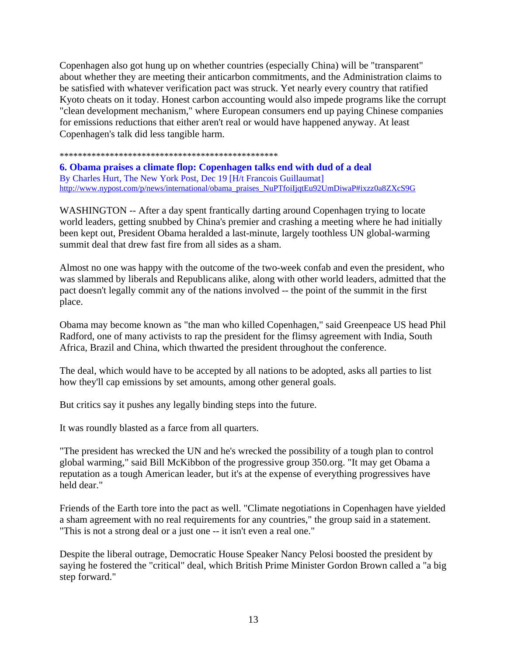Copenhagen also got hung up on whether countries (especially China) will be "transparent" about whether they are meeting their anticarbon commitments, and the Administration claims to be satisfied with whatever verification pact was struck. Yet nearly every country that ratified Kyoto cheats on it today. Honest carbon accounting would also impede programs like the corrupt "clean development mechanism," where European consumers end up paying Chinese companies for emissions reductions that either aren't real or would have happened anyway. At least Copenhagen's talk did less tangible harm.

#### \*\*\*\*\*\*\*\*\*\*\*\*\*\*\*\*\*\*\*\*\*\*\*\*\*\*\*\*\*\*\*\*\*\*\*\*\*\*\*\*\*\*\*\*\*\*\*\*

**6. Obama praises a climate flop: Copenhagen talks end with dud of a deal**  By Charles Hurt, The New York Post, Dec 19 [H/t Francois Guillaumat] http://www.nypost.com/p/news/international/obama\_praises\_NuPTfoiIjqtEu92UmDiwaP#ixzz0a8ZXcS9G

WASHINGTON -- After a day spent frantically darting around Copenhagen trying to locate world leaders, getting snubbed by China's premier and crashing a meeting where he had initially been kept out, President Obama heralded a last-minute, largely toothless UN global-warming summit deal that drew fast fire from all sides as a sham.

Almost no one was happy with the outcome of the two-week confab and even the president, who was slammed by liberals and Republicans alike, along with other world leaders, admitted that the pact doesn't legally commit any of the nations involved -- the point of the summit in the first place.

Obama may become known as "the man who killed Copenhagen," said Greenpeace US head Phil Radford, one of many activists to rap the president for the flimsy agreement with India, South Africa, Brazil and China, which thwarted the president throughout the conference.

The deal, which would have to be accepted by all nations to be adopted, asks all parties to list how they'll cap emissions by set amounts, among other general goals.

But critics say it pushes any legally binding steps into the future.

It was roundly blasted as a farce from all quarters.

"The president has wrecked the UN and he's wrecked the possibility of a tough plan to control global warming," said Bill McKibbon of the progressive group 350.org. "It may get Obama a reputation as a tough American leader, but it's at the expense of everything progressives have held dear."

Friends of the Earth tore into the pact as well. "Climate negotiations in Copenhagen have yielded a sham agreement with no real requirements for any countries," the group said in a statement. "This is not a strong deal or a just one -- it isn't even a real one."

Despite the liberal outrage, Democratic House Speaker Nancy Pelosi boosted the president by saying he fostered the "critical" deal, which British Prime Minister Gordon Brown called a "a big step forward."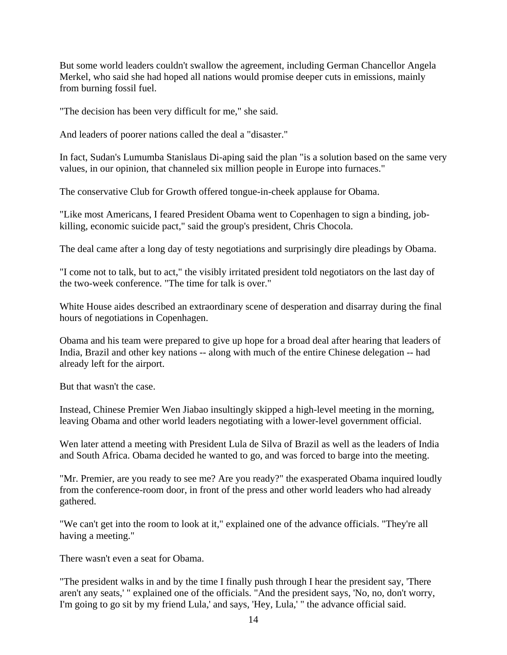But some world leaders couldn't swallow the agreement, including German Chancellor Angela Merkel, who said she had hoped all nations would promise deeper cuts in emissions, mainly from burning fossil fuel.

"The decision has been very difficult for me," she said.

And leaders of poorer nations called the deal a "disaster."

In fact, Sudan's Lumumba Stanislaus Di-aping said the plan "is a solution based on the same very values, in our opinion, that channeled six million people in Europe into furnaces."

The conservative Club for Growth offered tongue-in-cheek applause for Obama.

"Like most Americans, I feared President Obama went to Copenhagen to sign a binding, jobkilling, economic suicide pact," said the group's president, Chris Chocola.

The deal came after a long day of testy negotiations and surprisingly dire pleadings by Obama.

"I come not to talk, but to act," the visibly irritated president told negotiators on the last day of the two-week conference. "The time for talk is over."

White House aides described an extraordinary scene of desperation and disarray during the final hours of negotiations in Copenhagen.

Obama and his team were prepared to give up hope for a broad deal after hearing that leaders of India, Brazil and other key nations -- along with much of the entire Chinese delegation -- had already left for the airport.

But that wasn't the case.

Instead, Chinese Premier Wen Jiabao insultingly skipped a high-level meeting in the morning, leaving Obama and other world leaders negotiating with a lower-level government official.

Wen later attend a meeting with President Lula de Silva of Brazil as well as the leaders of India and South Africa. Obama decided he wanted to go, and was forced to barge into the meeting.

"Mr. Premier, are you ready to see me? Are you ready?" the exasperated Obama inquired loudly from the conference-room door, in front of the press and other world leaders who had already gathered.

"We can't get into the room to look at it," explained one of the advance officials. "They're all having a meeting."

There wasn't even a seat for Obama.

"The president walks in and by the time I finally push through I hear the president say, 'There aren't any seats,' " explained one of the officials. "And the president says, 'No, no, don't worry, I'm going to go sit by my friend Lula,' and says, 'Hey, Lula,' " the advance official said.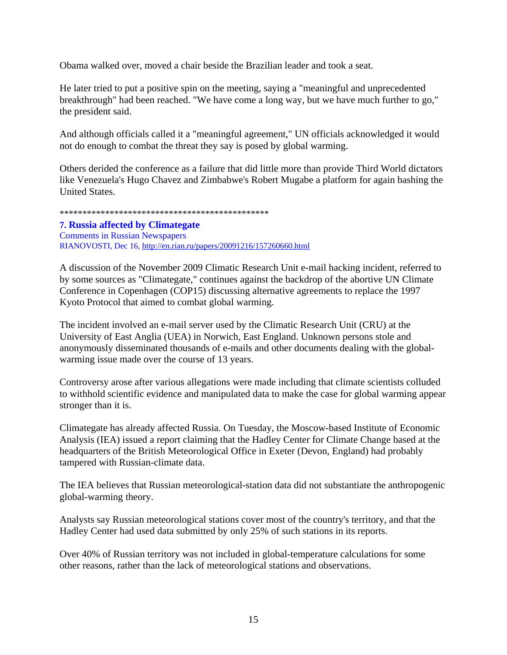Obama walked over, moved a chair beside the Brazilian leader and took a seat.

He later tried to put a positive spin on the meeting, saying a "meaningful and unprecedented breakthrough" had been reached. "We have come a long way, but we have much further to go," the president said.

And although officials called it a "meaningful agreement," UN officials acknowledged it would not do enough to combat the threat they say is posed by global warming.

Others derided the conference as a failure that did little more than provide Third World dictators like Venezuela's Hugo Chavez and Zimbabwe's Robert Mugabe a platform for again bashing the United States.

\*\*\*\*\*\*\*\*\*\*\*\*\*\*\*\*\*\*\*\*\*\*\*\*\*\*\*\*\*\*\*\*\*\*\*\*\*\*\*\*\*\*\*\*\*\*

**7. Russia affected by Climategate**  Comments in Russian Newspapers RIANOVOSTI, Dec 16, http://en.rian.ru/papers/20091216/157260660.html

A discussion of the November 2009 Climatic Research Unit e-mail hacking incident, referred to by some sources as "Climategate," continues against the backdrop of the abortive UN Climate Conference in Copenhagen (COP15) discussing alternative agreements to replace the 1997 Kyoto Protocol that aimed to combat global warming.

The incident involved an e-mail server used by the Climatic Research Unit (CRU) at the University of East Anglia (UEA) in Norwich, East England. Unknown persons stole and anonymously disseminated thousands of e-mails and other documents dealing with the globalwarming issue made over the course of 13 years.

Controversy arose after various allegations were made including that climate scientists colluded to withhold scientific evidence and manipulated data to make the case for global warming appear stronger than it is.

Climategate has already affected Russia. On Tuesday, the Moscow-based Institute of Economic Analysis (IEA) issued a report claiming that the Hadley Center for Climate Change based at the headquarters of the British Meteorological Office in Exeter (Devon, England) had probably tampered with Russian-climate data.

The IEA believes that Russian meteorological-station data did not substantiate the anthropogenic global-warming theory.

Analysts say Russian meteorological stations cover most of the country's territory, and that the Hadley Center had used data submitted by only 25% of such stations in its reports.

Over 40% of Russian territory was not included in global-temperature calculations for some other reasons, rather than the lack of meteorological stations and observations.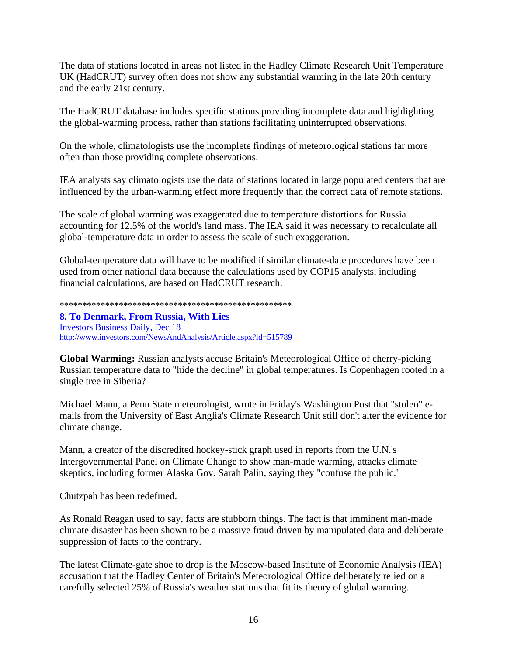The data of stations located in areas not listed in the Hadley Climate Research Unit Temperature UK (HadCRUT) survey often does not show any substantial warming in the late 20th century and the early 21st century.

The HadCRUT database includes specific stations providing incomplete data and highlighting the global-warming process, rather than stations facilitating uninterrupted observations.

On the whole, climatologists use the incomplete findings of meteorological stations far more often than those providing complete observations.

IEA analysts say climatologists use the data of stations located in large populated centers that are influenced by the urban-warming effect more frequently than the correct data of remote stations.

The scale of global warming was exaggerated due to temperature distortions for Russia accounting for 12.5% of the world's land mass. The IEA said it was necessary to recalculate all global-temperature data in order to assess the scale of such exaggeration.

Global-temperature data will have to be modified if similar climate-date procedures have been used from other national data because the calculations used by COP15 analysts, including financial calculations, are based on HadCRUT research.

#### \*\*\*\*\*\*\*\*\*\*\*\*\*\*\*\*\*\*\*\*\*\*\*\*\*\*\*\*\*\*\*\*\*\*\*\*\*\*\*\*\*\*\*\*\*\*\*\*\*\*\*

**8. To Denmark, From Russia, With Lies**  Investors Business Daily, Dec 18 http://www.investors.com/NewsAndAnalysis/Article.aspx?id=515789

**Global Warming:** Russian analysts accuse Britain's Meteorological Office of cherry-picking Russian temperature data to "hide the decline" in global temperatures. Is Copenhagen rooted in a single tree in Siberia?

Michael Mann, a Penn State meteorologist, wrote in Friday's Washington Post that "stolen" emails from the University of East Anglia's Climate Research Unit still don't alter the evidence for climate change.

Mann, a creator of the discredited hockey-stick graph used in reports from the U.N.'s Intergovernmental Panel on Climate Change to show man-made warming, attacks climate skeptics, including former Alaska Gov. Sarah Palin, saying they "confuse the public."

Chutzpah has been redefined.

As Ronald Reagan used to say, facts are stubborn things. The fact is that imminent man-made climate disaster has been shown to be a massive fraud driven by manipulated data and deliberate suppression of facts to the contrary.

The latest Climate-gate shoe to drop is the Moscow-based Institute of Economic Analysis (IEA) accusation that the Hadley Center of Britain's Meteorological Office deliberately relied on a carefully selected 25% of Russia's weather stations that fit its theory of global warming.